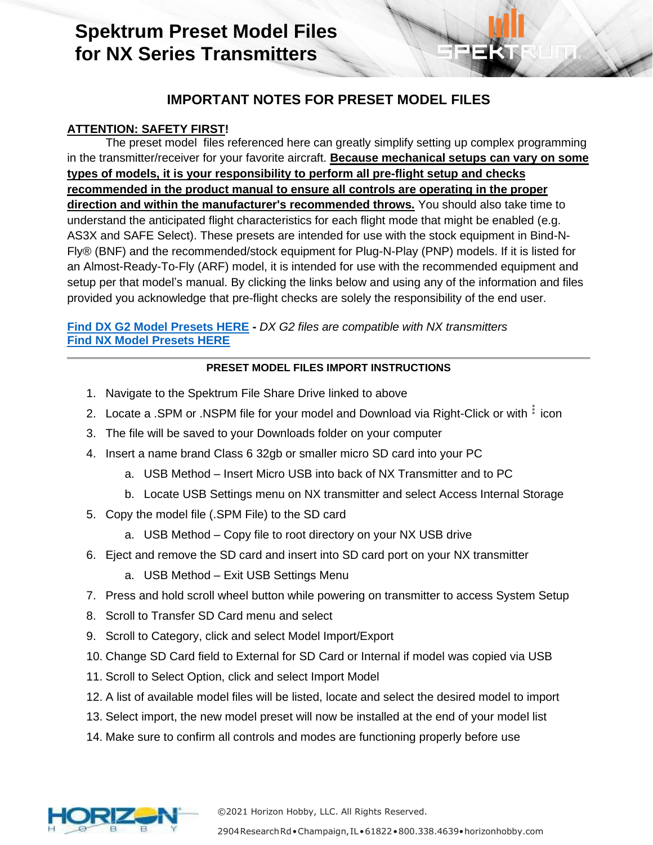# **Spektrum Preset Model Files for NX Series Transmitters**

## **IMPORTANT NOTES FOR PRESET MODEL FILES**

### **ATTENTION: SAFETY FIRST!**

The preset model files referenced here can greatly simplify setting up complex programming in the transmitter/receiver for your favorite aircraft. **Because mechanical setups can vary on some types of models, it is your responsibility to perform all pre-flight setup and checks recommended in the product manual to ensure all controls are operating in the proper direction and within the manufacturer's recommended throws.** You should also take time to understand the anticipated flight characteristics for each flight mode that might be enabled (e.g. AS3X and SAFE Select). These presets are intended for use with the stock equipment in Bind-N-Fly® (BNF) and the recommended/stock equipment for Plug-N-Play (PNP) models. If it is listed for an Almost-Ready-To-Fly (ARF) model, it is intended for use with the recommended equipment and setup per that model's manual. By clicking the links below and using any of the information and files provided you acknowledge that pre-flight checks are solely the responsibility of the end user.

**Find DX G2 [Model Presets HERE](https://drive.google.com/drive/folders/1kSKDoO69hvYGX-XCGesSqQckFNi17qaR?usp=sharing) -** *DX G2 files are compatible with NX transmitters* **[Find NX Model Presets HERE](https://drive.google.com/drive/folders/1bdKKKqwn3TCYWPRrjkQJ1q7b5SXjXnRn?usp=sharing)**

### **PRESET MODEL FILES IMPORT INSTRUCTIONS**

- 1. Navigate to the Spektrum File Share Drive linked to above
- 2. Locate a .SPM or .NSPM file for your model and Download via Right-Click or with  $\frac{1}{2}$  icon
- 3. The file will be saved to your Downloads folder on your computer
- 4. Insert a name brand Class 6 32gb or smaller micro SD card into your PC
	- a. USB Method Insert Micro USB into back of NX Transmitter and to PC
	- b. Locate USB Settings menu on NX transmitter and select Access Internal Storage
- 5. Copy the model file (.SPM File) to the SD card
	- a. USB Method Copy file to root directory on your NX USB drive
- 6. Eject and remove the SD card and insert into SD card port on your NX transmitter
	- a. USB Method Exit USB Settings Menu
- 7. Press and hold scroll wheel button while powering on transmitter to access System Setup
- 8. Scroll to Transfer SD Card menu and select
- 9. Scroll to Category, click and select Model Import/Export
- 10. Change SD Card field to External for SD Card or Internal if model was copied via USB
- 11. Scroll to Select Option, click and select Import Model
- 12. A list of available model files will be listed, locate and select the desired model to import
- 13. Select import, the new model preset will now be installed at the end of your model list
- 14. Make sure to confirm all controls and modes are functioning properly before use